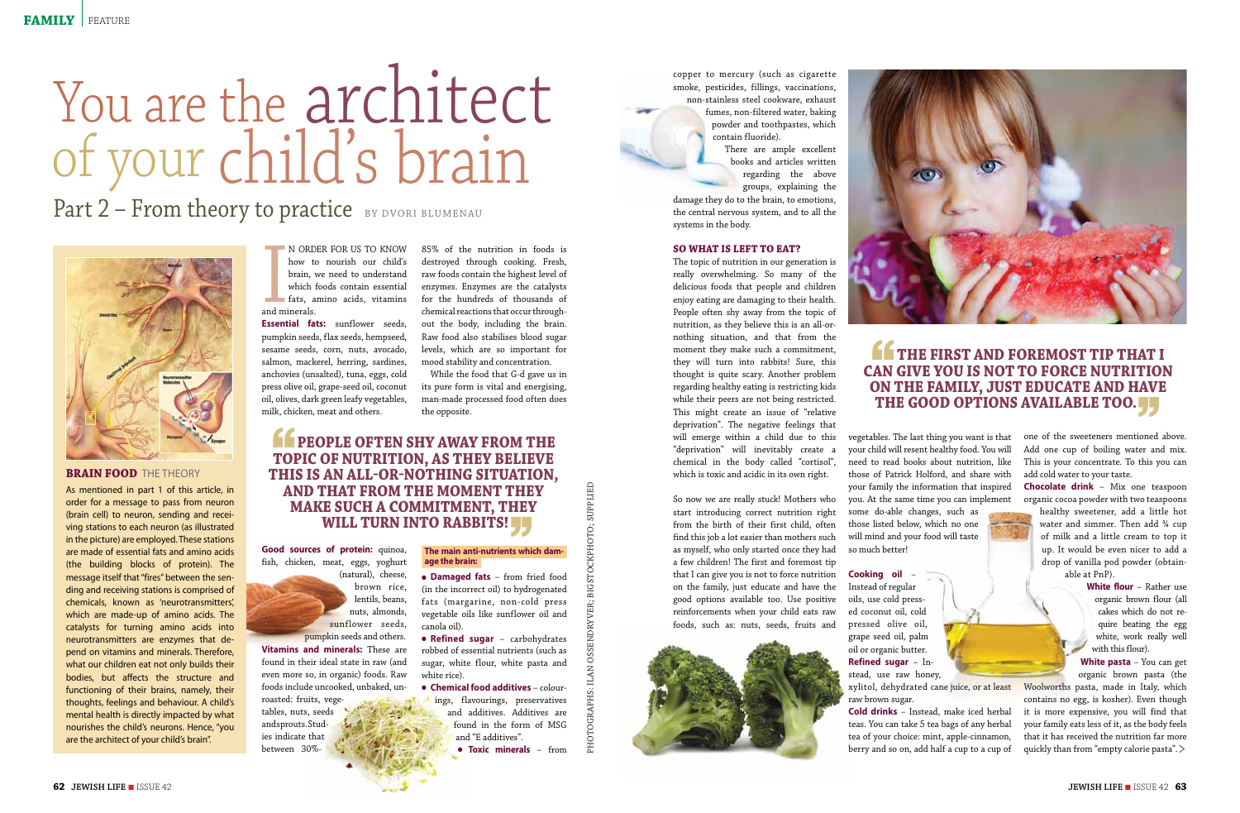**Vitamins and minerals:** These are found in their ideal state in raw (and even more so, in organic) foods. Raw foods include uncooked, unbaked, unroasted: fruits, vegetables, nuts, seeds and sprouts. Stud-

**Essential fats:** sunflower seeds, pumpkin seeds, flax seeds, hempseed, sesame seeds, corn, nuts, avocado, salmon, mackerel, herring, sardines, anchovies (unsalted), tuna, eggs, cold press olive oil, grape-seed oil, coconut oil, olives, dark green leafy vegetables, milk, chicken, meat and others.

**Good sources of protein:** quinoa, fish, chicken, meat, eggs, yoghurt

(natural), cheese, brown rice, lentils, beans, nuts, almonds, sunflower seeds, pumpkin seeds and others.

**• Refined sugar** – carbohydrates robbed of essential nutrients (such as sugar, white flour, white pasta and white rice).

ies indicate that between 30%-

**• Chemical food additives** – colourings, flavourings, preservatives and additives. Additives are found in the form of MSG and "E additives".

85% of the nutrition in foods is destroyed through cooking. Fresh, raw foods contain the highest level of enzymes. Enzymes are the catalysts for the hundreds of thousands of chemical reactions that occur throughout the body, including the brain. Raw food also stabilises blood sugar levels, which are so important for mood stability and concentration.

 While the food that G-d gave us in its pure form is vital and energising, man-made processed food often does the opposite.

## **FEOPLE OFTEN SHY AWAY FROM THE TOPIC OF NUTRITION, AS THEY BELIEVE topic of nutrition, as they believe this is an all-or-nothing situation, and that from the moment they make such a commitment, they WILL TURN INTO RABBITS!**

## **The main anti-nutrients which dam-** '' **age the brain:**

<sup>l</sup> **Damaged fats** – from fried food (in the incorrect oil) to hydrogenated fats (margarine, non-cold press vegetable oils like sunflower oil and canola oil).

<sup>l</sup> **Toxic minerals** – from

copper to mercury (such as cigarette smoke, pesticides, fillings, vaccinations, non-stainless steel cookware, exhaust

fumes, non-filtered water, baking powder and toothpastes, which contain fluoride).

> There are ample excellent books and articles written regarding the above groups, explaining the

damage they do to the brain, to emotions, the central nervous system, and to all the systems in the body.

#### **So what is left to eat?**

# You are the architect of your child's brain

## Part 2 – From theory to practice BY DVORI BLUMENAU



## **BRAIN FOOD THE THEORY**

The topic of nutrition in our generation is really overwhelming. So many of the delicious foods that people and children enjoy eating are damaging to their health. People often shy away from the topic of nutrition, as they believe this is an all-ornothing situation, and that from the moment they make such a commitment, they will turn into rabbits! Sure, this thought is quite scary. Another problem regarding healthy eating is restricting kids while their peers are not being restricted. This might create an issue of "relative deprivation". The negative feelings that will emerge within a child due to this "deprivation" will inevitably create a chemical in the body called "cortisol", which is toxic and acidic in its own right.

**EXAMPLE AND THE REAL PROPERTY.** THE CONSULTEREY THE CONSULTEREY SUPPLIES TO A CONSULTERED MARKER ON A CONSULTERED MARKER ON A CONSULTERED MARKER ON A CONSULTERED MARKER ON A CONSULTERED MARKER ON A CONSULTERED MARKER ON As mentioned in part 1 of this article, in order for a message to pass from neuron (brain cell) to neuron, sending and receiving stations to each neuron (as illustrated in the picture) are employed. These stations are made of essential fats and amino acids (the building blocks of protein). The message itself that "fires" between the sending and receiving stations is comprised of chemicals, known as 'neurotransmitters', which are made-up of amino acids. The catalysts for turning amino acids into neurotransmitters are enzymes that depend on vitamins and minerals. Therefore, what our children eat not only builds their bodies, but affects the structure and functioning of their brains, namely, their thoughts, feelings and behaviour. A child's mental health is directly impacted by what nourishes the child's neurons. Hence, "you are the architect of your child's brain".

N ORD<br>how to<br>brain, v<br>which<br>fats, a<br>and minerals. n order for us to know how to nourish our child's brain, we need to understand which foods contain essential  $\blacksquare$  fats, amino acids, vitamins

> So now we are really stuck! Mothers who start introducing correct nutrition right from the birth of their first child, often find this job a lot easier than mothers such as myself, who only started once they had a few children! The first and foremost tip that I can give you is not to force nutrition on the family, just educate and have the good options available too. Use positive reinforcements when your child eats raw foods, such as: nuts, seeds, fruits and





vegetables. The last thing you want is that your child will resent healthy food. You will need to read books about nutrition, like those of Patrick Holford, and share with your family the information that inspired you. At the same time you can implement some do-able changes, such as those listed below, which no one will mind and your food will taste so much better!

**Cooking oil** – Instead of regular oils, use cold pressed coconut oil, cold pressed olive oil, grape seed oil, palm oil or organic butter. **Refined sugar** – Instead, use raw honey, raw brown sugar.

**Cold drinks** – Instead, make iced herbal teas. You can take 5 tea bags of any herbal tea of your choice: mint, apple-cinnamon, berry and so on, add half a cup to a cup of



## **THE FIRST AND FOREMOST TIP THAT IS AN GIVE YOU IS NOT TO FORCE NUTRITION can give you is not to force nutrition on the family, just educate and have THE GOOD OPTIONS AVAILABLE TOO.**

one of the sweeteners mentioned above. Add one cup of boiling water and mix. This is your concentrate. To this you can add cold water to your taste.

**Chocolate drink** – Mix one teaspoon organic cocoa powder with two teaspoons

healthy sweetener, add a little hot water and simmer. Then add <sup>34</sup> cup of milk and a little cream to top it up. It would be even nicer to add a drop of vanilla pod powder (obtainable at PnP).

> **White flour** – Rather use organic brown flour (all cakes which do not require beating the egg white, work really well with this flour).

**White pasta** – You can get organic brown pasta (the

xylitol, dehydrated cane juice, or at least Woolworths pasta, made in Italy, which contains no egg, is kosher). Even though it is more expensive, you will find that your family eats less of it, as the body feels that it has received the nutrition far more quickly than from "empty calorie pasta". >